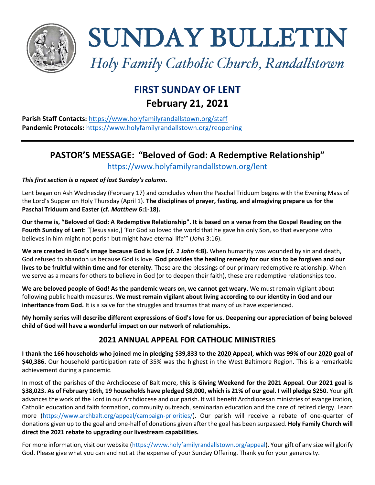

SUNDAY BULLETIN

*Holy Family Catholic Church, Randallstown*

# **FIRST SUNDAY OF LENT February 21, 2021**

**Parish Staff Contacts:** <https://www.holyfamilyrandallstown.org/staff> **Pandemic Protocols:** <https://www.holyfamilyrandallstown.org/reopening>

## **PASTOR'S MESSAGE: "Beloved of God: A Redemptive Relationship"** https://www.holyfamilyrandallstown.org/lent

### *This first section is a repeat of last Sunday's column.*

Lent began on Ash Wednesday (February 17) and concludes when the Paschal Triduum begins with the Evening Mass of the Lord's Supper on Holy Thursday (April 1). **The disciplines of prayer, fasting, and almsgiving prepare us for the Paschal Triduum and Easter (cf.** *Matthew* **6:1-18).** 

**Our theme is, "Beloved of God: A Redemptive Relationship". It is based on a verse from the Gospel Reading on the Fourth Sunday of Lent**: "[Jesus said,] 'For God so loved the world that he gave his only Son, so that everyone who believes in him might not perish but might have eternal life'" (*John* 3:16).

We are created in God's image because God is love (cf. 1 John 4:8). When humanity was wounded by sin and death, God refused to abandon us because God is love. **God provides the healing remedy for our sins to be forgiven and our lives to be fruitful within time and for eternity.** These are the blessings of our primary redemptive relationship. When we serve as a means for others to believe in God (or to deepen their faith), these are redemptive relationships too.

**We are beloved people of God! As the pandemic wears on, we cannot get weary.** We must remain vigilant about following public health measures. **We must remain vigilant about living according to our identity in God and our inheritance from God.** It is a salve for the struggles and traumas that many of us have experienced.

**My homily series will describe different expressions of God's love for us. Deepening our appreciation of being beloved child of God will have a wonderful impact on our network of relationships.** 

### **2021 ANNUAL APPEAL FOR CATHOLIC MINISTRIES**

**I thank the 166 households who joined me in pledging \$39,833 to the 2020 Appeal, which was 99% of our 2020 goal of \$40,386.** Our household participation rate of 35% was the highest in the West Baltimore Region. This is a remarkable achievement during a pandemic.

In most of the parishes of the Archdiocese of Baltimore, **this is Giving Weekend for the 2021 Appeal. Our 2021 goal is \$38,023. As of February 16th, 19 households have pledged \$8,000, which is 21% of our goal. I will pledge \$250.** Your gift advances the work of the Lord in our Archdiocese and our parish. It will benefit Archdiocesan ministries of evangelization, Catholic education and faith formation, community outreach, seminarian education and the care of retired clergy. Learn more [\(https://www.archbalt.org/appeal/campaign-priorities/\)](https://www.archbalt.org/appeal/campaign-priorities/). Our parish will receive a rebate of one-quarter of donations given up to the goal and one-half of donations given after the goal has been surpassed. **Holy Family Church will direct the 2021 rebate to upgrading our livestream capabilities.**

For more information, visit our website [\(https://www.holyfamilyrandallstown.org/appeal\)](https://www.holyfamilyrandallstown.org/appeal). Your gift of any size will glorify God. Please give what you can and not at the expense of your Sunday Offering. Thank yu for your generosity.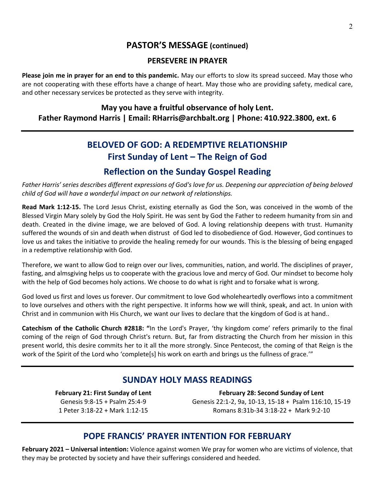## **PASTOR'S MESSAGE (continued)**

### **PERSEVERE IN PRAYER**

**Please join me in prayer for an end to this pandemic.** May our efforts to slow its spread succeed. May those who are not cooperating with these efforts have a change of heart. May those who are providing safety, medical care, and other necessary services be protected as they serve with integrity.

### **May you have a fruitful observance of holy Lent. Father Raymond Harris | Email: RHarris@archbalt.org | Phone: 410.922.3800, ext. 6**

# **BELOVED OF GOD: A REDEMPTIVE RELATIONSHIP First Sunday of Lent – The Reign of God**

## **Reflection on the Sunday Gospel Reading**

*Father Harris' series describes different expressions of God's love for us. Deepening our appreciation of being beloved child of God will have a wonderful impact on our network of relationships.* 

**Read Mark 1:12-15.** The Lord Jesus Christ, existing eternally as God the Son, was conceived in the womb of the Blessed Virgin Mary solely by God the Holy Spirit. He was sent by God the Father to redeem humanity from sin and death. Created in the divine image, we are beloved of God. A loving relationship deepens with trust. Humanity suffered the wounds of sin and death when distrust of God led to disobedience of God. However, God continues to love us and takes the initiative to provide the healing remedy for our wounds. This is the blessing of being engaged in a redemptive relationship with God.

Therefore, we want to allow God to reign over our lives, communities, nation, and world. The disciplines of prayer, fasting, and almsgiving helps us to cooperate with the gracious love and mercy of God. Our mindset to become holy with the help of God becomes holy actions. We choose to do what is right and to forsake what is wrong.

God loved us first and loves us forever. Our commitment to love God wholeheartedly overflows into a commitment to love ourselves and others with the right perspective. It informs how we will think, speak, and act. In union with Christ and in communion with His Church, we want our lives to declare that the kingdom of God is at hand..

**Catechism of the Catholic Church #2818: "**In the Lord's Prayer, 'thy kingdom come' refers primarily to the final coming of the reign of God through Christ's return. But, far from distracting the Church from her mission in this present world, this desire commits her to it all the more strongly. Since Pentecost, the coming of that Reign is the work of the Spirit of the Lord who 'complete[s] his work on earth and brings us the fullness of grace.'"

## **SUNDAY HOLY MASS READINGS**

**February 21: First Sunday of Lent** Genesis 9:8-15 + Psalm 25:4-9 1 Peter 3:18-22 + Mark 1:12-15

**February 28: Second Sunday of Lent** Genesis 22:1-2, 9a, 10-13, 15-18 + Psalm 116:10, 15-19 Romans 8:31b-34 3:18-22 + Mark 9:2-10

## **POPE FRANCIS' PRAYER INTENTION FOR FEBRUARY**

**February 2021 – Universal intention:** Violence against women We pray for women who are victims of violence, that they may be protected by society and have their sufferings considered and heeded.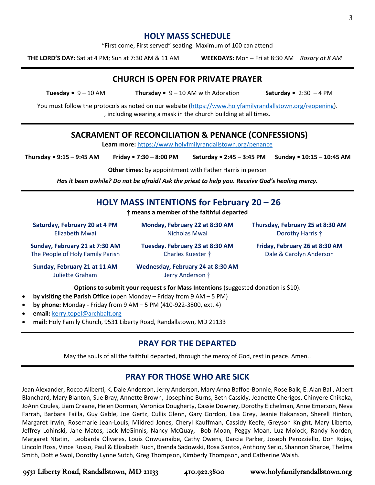### **HOLY MASS SCHEDULE**

"First come, First served" seating. Maximum of 100 can attend

**THE LORD'S DAY:** Sat at 4 PM; Sun at 7:30 AM & 11 AM **WEEKDAYS:** Mon – Fri at 8:30 AM *Rosary at 8 AM*

**CHURCH IS OPEN FOR PRIVATE PRAYER**

**Tuesday •** 9 – 10 AM **Thursday •** 9 – 10 AM with Adoration **Saturday •** 2:30 – 4 PM

You must follow the protocols as noted on our website [\(https://www.holyfamilyrandallstown.org/reopening\)](https://www.holyfamilyrandallstown.org/reopening). , including wearing a mask in the church building at all times.

### **SACRAMENT OF RECONCILIATION & PENANCE (CONFESSIONS)**

**Learn more:** <https://www.holyfmilyrandallstown.org/penance>

**Thursday • 9:15 – 9:45 AM Friday • 7:30 – 8:00 PM Saturday • 2:45 – 3:45 PM Sunday • 10:15 – 10:45 AM**

**Other times:** by appointment with Father Harris in person

*Has it been awhile? Do not be afraid! Ask the priest to help you. Receive God's healing mercy.*

### **HOLY MASS INTENTIONS for February 20 – 26**

**† means a member of the faithful departed**

**Saturday, February 20 at 4 PM** Elizabeth Mwai

**Monday, February 22 at 8:30 AM** Nicholas Mwai

**Thursday, February 25 at 8:30 AM** Dorothy Harris †

**Sunday, February 21 at 7:30 AM** The People of Holy Family Parish **Tuesday. February 23 at 8:30 AM** Charles Kuester †

**Friday, February 26 at 8:30 AM** Dale & Carolyn Anderson

**Sunday, February 21 at 11 AM** Juliette Graham

**Wednesday, February 24 at 8:30 AM** 

**Options to submit your request s for Mass Intentions** (suggested donation is \$10).

- **by visiting the Parish Office** (open Monday Friday from 9 AM 5 PM)
- **by phone:** Monday Friday from 9 AM 5 PM (410-922-3800, ext. 4)
- **email:** [kerry.topel@archbalt.org](mailto:kerry.topel@archbalt.org)
- **mail:** Holy Family Church, 9531 Liberty Road, Randallstown, MD 21133

### **PRAY FOR THE DEPARTED**

May the souls of all the faithful departed, through the mercy of God, rest in peace. Amen..

### **PRAY FOR THOSE WHO ARE SICK**

Jean Alexander, Rocco Aliberti, K. Dale Anderson, Jerry Anderson, Mary Anna Baffoe-Bonnie, Rose Balk, E. Alan Ball, Albert Blanchard, Mary Blanton, Sue Bray, Annette Brown, Josephine Burns, Beth Cassidy, Jeanette Cherigos, Chinyere Chikeka, JoAnn Coules, Liam Craane, Helen Dorman, Veronica Dougherty, Cassie Downey, Dorothy Eichelman, Anne Emerson, Neva Farrah, Barbara Failla, Guy Gable, Joe Gertz, Cullis Glenn, Gary Gordon, Lisa Grey, Jeanie Hakanson, Sherell Hinton, Margaret Irwin, Rosemarie Jean-Louis, Mildred Jones, Cheryl Kauffman, Cassidy Keefe, Greyson Knight, Mary Liberto, Jeffrey Lohinski, Jane Matos, Jack McGinnis, Nancy McQuay, Bob Moan, Peggy Moan, Luz Molock, Randy Norden, Margaret Ntatin, Leobarda Olivares, Louis Onwuanaibe, Cathy Owens, Darcia Parker, Joseph Perozziello, Don Rojas, Lincoln Ross, Vince Rosso, Paul & Elizabeth Ruch, Brenda Sadowski, Rosa Santos, Anthony Serio, Shannon Sharpe, Thelma Smith, Dottie Swol, Dorothy Lynne Sutch, Greg Thompson, Kimberly Thompson, and Catherine Walsh.

9531 Liberty Road, Randallstown, MD 21133 410.922.3800 www.holyfamilyrandallstown.org

Jerry Anderson †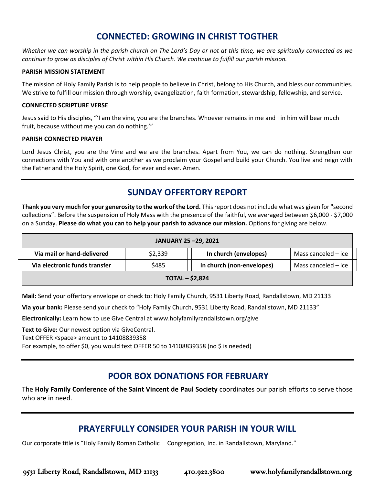## **CONNECTED: GROWING IN CHRIST TOGTHER**

*Whether we can worship in the parish church on The Lord's Day or not at this time, we are spiritually connected as we continue to grow as disciples of Christ within His Church. We continue to fulfill our parish mission.*

#### **PARISH MISSION STATEMENT**

The mission of Holy Family Parish is to help people to believe in Christ, belong to His Church, and bless our communities. We strive to fulfill our mission through worship, evangelization, faith formation, stewardship, fellowship, and service.

#### **CONNECTED SCRIPTURE VERSE**

Jesus said to His disciples, "'I am the vine, you are the branches. Whoever remains in me and I in him will bear much fruit, because without me you can do nothing.'"

#### **PARISH CONNECTED PRAYER**

Lord Jesus Christ, you are the Vine and we are the branches. Apart from You, we can do nothing. Strengthen our connections with You and with one another as we proclaim your Gospel and build your Church. You live and reign with the Father and the Holy Spirit, one God, for ever and ever. Amen.

## **SUNDAY OFFERTORY REPORT**

**Thank you very much for your generosity to the work of the Lord.** Thisreport does not include what was given for "second collections". Before the suspension of Holy Mass with the presence of the faithful, we averaged between \$6,000 - \$7,000 on a Sunday. **Please do what you can to help your parish to advance our mission.** Options for giving are below.

| JANUARY 25-29, 2021           |         |  |                           |                     |
|-------------------------------|---------|--|---------------------------|---------------------|
| Via mail or hand-delivered    | \$2,339 |  | In church (envelopes)     | Mass canceled – ice |
| Via electronic funds transfer | \$485   |  | In church (non-envelopes) | Mass canceled - ice |
| $TOTAL - $2,824$              |         |  |                           |                     |

**Mail:** Send your offertory envelope or check to: Holy Family Church, 9531 Liberty Road, Randallstown, MD 21133

**Via your bank:** Please send your check to "Holy Family Church, 9531 Liberty Road, Randallstown, MD 21133"

**Electronically:** Learn how to use Give Central at www.holyfamilyrandallstown.org/give

**Text to Give:** Our newest option via GiveCentral. Text OFFER <space> amount to 14108839358

For example, to offer \$0, you would text OFFER 50 to 14108839358 (no \$ is needed)

### **POOR BOX DONATIONS FOR FEBRUARY**

The **Holy Family Conference of the Saint Vincent de Paul Society** coordinates our parish efforts to serve those who are in need.

### **PRAYERFULLY CONSIDER YOUR PARISH IN YOUR WILL**

Our corporate title is "Holy Family Roman Catholic Congregation, Inc. in Randallstown, Maryland."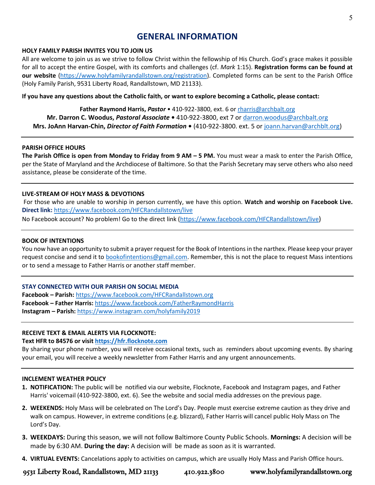### **GENERAL INFORMATION**

#### **HOLY FAMILY PARISH INVITES YOU TO JOIN US**

All are welcome to join us as we strive to follow Christ within the fellowship of His Church. God's grace makes it possible for all to accept the entire Gospel, with its comforts and challenges (cf. *Mark* 1:15). **Registration forms can be found at our website** [\(https://www.holyfamilyrandallstown.org/registration\)](https://www.holyfamilyrandallstown.org/registration). Completed forms can be sent to the Parish Office (Holy Family Parish, 9531 Liberty Road, Randallstown, MD 21133).

**If you have any questions about the Catholic faith, or want to explore becoming a Catholic, please contact:**

**Father Raymond Harris,** *Pastor* • 410-922-3800, ext. 6 or [rharris@archbalt.org](mailto:rharris@archbalt.org) **Mr. Darron C. Woodus,** *Pastoral Associate* **•** 410-922-3800, ext 7 or [darron.woodus@archbalt.org](mailto:darron.woodus@archbalt.org) **Mrs. JoAnn Harvan-Chin,** *Director of Faith Formation* **•** (410-922-3800. ext. 5 or [joann.harvan@archblt.org\)](mailto:joann.harvan@archblt.org)

#### **PARISH OFFICE HOURS**

**The Parish Office is open from Monday to Friday from 9 AM – 5 PM.** You must wear a mask to enter the Parish Office, per the State of Maryland and the Archdiocese of Baltimore. So that the Parish Secretary may serve others who also need assistance, please be considerate of the time.

#### **LIVE-STREAM OF HOLY MASS & DEVOTIONS**

For those who are unable to worship in person currently, we have this option. **Watch and worship on Facebook Live. Direct link:** <https://www.facebook.com/HFCRandallstown/live>

No Facebook account? No problem! Go to the direct link [\(https://www.facebook.com/HFCRandallstown/live](https://www.facebook.com/HFCRandallstown/live))

#### **BOOK OF INTENTIONS**

You now have an opportunity to submit a prayer request for the Book of Intentions in the narthex. Please keep your prayer request concise and send it to [bookofintentions@gmail.com.](mailto:bookofintentions@gmail.com) Remember, this is not the place to request Mass intentions or to send a message to Father Harris or another staff member.

#### **STAY CONNECTED WITH OUR PARISH ON SOCIAL MEDIA**

**Facebook – Parish:** <https://www.facebook.com/HFCRandallstown.org> **Facebook – Father Harris:** <https://www.facebook.com/FatherRaymondHarris> **Instagram – Parish:** <https://www.instagram.com/holyfamily2019>

#### **RECEIVE TEXT & EMAIL ALERTS VIA FLOCKNOTE:**

#### **Text HFR to 84576 or visit [https://hfr.flocknote.com](https://hfr.flocknote.com/)**

By sharing your phone number, you will receive occasional texts, such as reminders about upcoming events. By sharing your email, you will receive a weekly newsletter from Father Harris and any urgent announcements.

#### **INCLEMENT WEATHER POLICY**

- **1. NOTIFICATION:** The public will be notified via our website, Flocknote, Facebook and Instagram pages, and Father Harris' voicemail (410-922-3800, ext. 6). See the website and social media addresses on the previous page.
- **2. WEEKENDS:** Holy Mass will be celebrated on The Lord's Day. People must exercise extreme caution as they drive and walk on campus. However, in extreme conditions (e.g. blizzard), Father Harris will cancel public Holy Mass on The Lord's Day.
- **3. WEEKDAYS:** During this season, we will not follow Baltimore County Public Schools. **Mornings:** A decision will be made by 6:30 AM. **During the day:** A decision will be made as soon as it is warranted.
- **4. VIRTUAL EVENTS:** Cancelations apply to activities on campus, which are usually Holy Mass and Parish Office hours.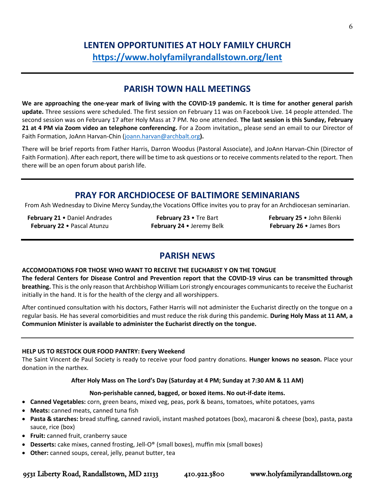## **LENTEN OPPORTUNITIES AT HOLY FAMILY CHURCH <https://www.holyfamilyrandallstown.org/lent>**

### **PARISH TOWN HALL MEETINGS**

**We are approaching the one-year mark of living with the COVID-19 pandemic. It is time for another general parish update.** Three sessions were scheduled. The first session on February 11 was on Facebook Live. 14 people attended. The second session was on February 17 after Holy Mass at 7 PM. No one attended. **The last session is this Sunday, February 21 at 4 PM via Zoom video an telephone conferencing.** For a Zoom invitation,, please send an email to our Director of Faith Formation, JoAnn Harvan-Chin [\(joann.harvan@archbalt.org](mailto:joann.harvan@archbalt.org)**).** 

There will be brief reports from Father Harris, Darron Woodus (Pastoral Associate), and JoAnn Harvan-Chin (Director of Faith Formation). After each report, there will be time to ask questions or to receive comments related to the report. Then there will be an open forum about parish life.

### **PRAY FOR ARCHDIOCESE OF BALTIMORE SEMINARIANS**

From Ash Wednesday to Divine Mercy Sunday,the Vocations Office invites you to pray for an Archdiocesan seminarian.

**February 21** • Daniel Andrades **February 22** • Pascal Atunzu

**February 23** • Tre Bart **February 24** • Jeremy Belk **February 25** • John Bilenki **February 26** • James Bors

### **PARISH NEWS**

**ACCOMODATIONS FOR THOSE WHO WANT TO RECEIVE THE EUCHARIST Y ON THE TONGUE**

**The federal Centers for Disease Control and Prevention report that the COVID-19 virus can be transmitted through breathing.** This is the only reason that Archbishop William Lori strongly encourages communicants to receive the Eucharist initially in the hand. It is for the health of the clergy and all worshippers.

After continued consultation with his doctors, Father Harris will not administer the Eucharist directly on the tongue on a regular basis. He has several comorbidities and must reduce the risk during this pandemic. **During Holy Mass at 11 AM, a Communion Minister is available to administer the Eucharist directly on the tongue.**

### **HELP US TO RESTOCK OUR FOOD PANTRY: Every Weekend**

The Saint Vincent de Paul Society is ready to receive your food pantry donations. **Hunger knows no season.** Place your donation in the narthex.

### **After Holy Mass on The Lord's Day (Saturday at 4 PM; Sunday at 7:30 AM & 11 AM)**

### **Non-perishable canned, bagged, or boxed items. No out-if-date items.**

- **Canned Vegetables:** corn, green beans, mixed veg, peas, pork & beans, tomatoes, white potatoes, yams
- **Meats:** canned meats, canned tuna fish
- **Pasta & starches:** bread stuffing, canned ravioli, instant mashed potatoes (box), macaroni & cheese (box), pasta, pasta sauce, rice (box)
- **Fruit:** canned fruit, cranberry sauce
- **Desserts:** cake mixes, canned frosting, Jell-O® (small boxes), muffin mix (small boxes)
- **Other:** canned soups, cereal, jelly, peanut butter, tea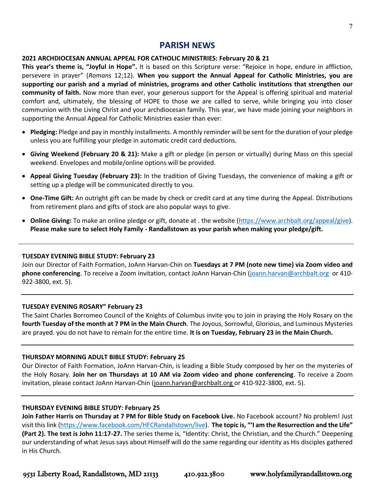### **PARISH NEWS**

### **2021 ARCHDIOCESAN ANNUAL APPEAL FOR CATHOLIC MINISTRIES: February 20 & 21**

**This year's theme is, "Joyful in Hope".** It is based on this Scripture verse: "Rejoice in hope, endure in affliction, persevere in prayer" (*Romans* 12;12). **When you support the Annual Appeal for Catholic Ministries, you are supporting our parish and a myriad of ministries, programs and other Catholic institutions that strengthen our community of faith.** Now more than ever, your generous support for the Appeal is offering spiritual and material comfort and, ultimately, the blessing of HOPE to those we are called to serve, while bringing you into closer communion with the Living Christ and your archdiocesan family. This year, we have made joining your neighbors in supporting the Annual Appeal for Catholic Ministries easier than ever:

- **Pledging:** Pledge and pay in monthly installments. A monthly reminder will be sent for the duration of your pledge unless you are fulfilling your pledge in automatic credit card deductions.
- **Giving Weekend (February 20 & 21):** Make a gift or pledge (in person or virtually) during Mass on this special weekend. Envelopes and mobile/online options will be provided.
- **Appeal Giving Tuesday (February 23):** In the tradition of Giving Tuesdays, the convenience of making a gift or setting up a pledge will be communicated directly to you.
- **One-Time Gift:** An outright gift can be made by check or credit card at any time during the Appeal. Distributions from retirement plans and gifts of stock are also popular ways to give.
- **Online Giving:** To make an online pledge or gift, donate at . the website [\(https://www.archbalt.org/appeal/give\)](https://www.archbalt.org/appeal/give). **Please make sure to select Holy Family - Randallstown as your parish when making your pledge/gift.**

### **TUESDAY EVENING BIBLE STUDY: February 23**

Join our Director of Faith Formation, JoAnn Harvan-Chin on **Tuesdays at 7 PM (note new time) via Zoom video and phone conferencing**. To receive a Zoom invitation, contact JoAnn Harvan-Chin [\(joann.harvan@archbalt.org](mailto:joann.harvan@archbalt.org) or 410- 922-3800, ext. 5).

### **TUESDAY EVENING ROSARY" February 23**

The Saint Charles Borromeo Council of the Knights of Columbus invite you to join in praying the Holy Rosary on the **fourth Tuesday of the month at 7 PM in the Main Church**. The Joyous, Sorrowful, Glorious, and Luminous Mysteries are prayed. you do not have to remain for the entire time. **It is on Tuesday, February 23 in the Main Church.**

### **THURSDAY MORNING ADULT BIBLE STUDY: February 25**

Our Director of Faith Formation, JoAnn Harvan-Chin, is leading a Bible Study composed by her on the mysteries of the Holy Rosary. **Join her on Thursdays at 10 AM via Zoom video and phone conferencing**. To receive a Zoom invitation, please contact JoAnn Harvan-Chin [\(joann.harvan@archbalt.org](mailto:joann.harvan@archbalt.org) or 410-922-3800, ext. 5).

#### **THURSDAY EVENING BIBLE STUDY: February 25**

**Join Father Harris on Thursday at 7 PM for Bible Study on Facebook Live.** No Facebook account? No problem! Just visit this link [\(https://www.facebook.com/HFCRandallstown/live\)](https://www.facebook.com/HFCRandallstown/live). **The topic is, "'I am the Resurrection and the Life" (Part 2). The text is John 11:17-27.** The series theme is, "Identity: Christ, the Christian, and the Church." Deepening our understanding of what Jesus says about Himself will do the same regarding our identity as His disciples gathered in His Church.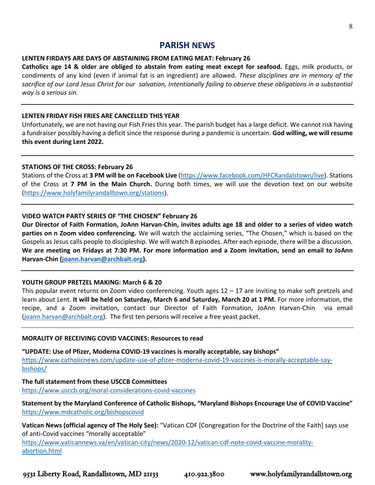### **PARISH NEWS**

#### **LENTEN FIRDAYS ARE DAYS OF ABSTAINING FROM EATING MEAT: February 26**

**Catholics age 14 & older are obliged to abstain from eating meat except for seafood.** Eggs, milk products, or condiments of any kind (even if animal fat is an ingredient) are allowed. *These disciplines are in memory of the sacrifice of our Lord Jesus Christ for our salvation, Intentionally failing to observe these obligations in a substantial way is a serious sin.*

### **LENTEN FRIDAY FISH FRIES ARE CANCELLED THIS YEAR**

Unfortunately, we are not having our Fish Fries this year. The parish budget has a large deficit. We cannot risk having a fundraiser possibly having a deficit since the response during a pandemic is uncertain. **God willing, we will resume this event during Lent 2022.**

#### **STATIONS OF THE CROSS: February 26**

Stations of the Cross at **3 PM will be on Facebook Live** [\(https://www.facebook.com/HFCRandalstown/live\)](https://www.facebook.com/HFCRandalstown/live). Stations of the Cross at **7 PM in the Main Church.** During both times, we will use the devotion text on our website [\(https://www.holyfamilyrandalltown.org/stations\)](https://www.holyfamilyrandalltown.org/stations).

### **VIDEO WATCH PARTY SERIES OF "THE CHOSEN" February 26**

**Our Director of Faith Formation, JoAnn Harvan-Chin, invites adults age 18 and older to a series of video watch parties on n Zoom video conferencing.** We will watch the acclaiming series, "The Chosen," which is based on the Gospels as Jesus calls people to discipleship. We will watch 8 episodes. After each episode, there will be a discussion. **We are meeting on Fridays at 7:30 PM. For more information and a Zoom invitation, send an email to JoAnn Harvan-Chin [\(joann.harvan@archbalt.org\)](mailto:joann.harvan@archbalt.org).** 

#### **YOUTH GROUP PRETZEL MAKING: March 6 & 20**

This popular event returns on Zoom video conferencing. Youth ages  $12 - 17$  are inviting to make soft pretzels and learn about Lent. **It will be held on Saturday, March 6 and Saturday, March 20 at 1 PM.** For more information, the recipe, and a Zoom invitation, contact our Director of Faith Formation, JoAnn Harvan-Chin via email [\(joann.harvan@archbalt.org\)](mailto:joann.harvan@archbalt.org). The first ten persons will receive a free yeast packet.

#### **MORALITY OF RECEIVING COVID VACCINES: Resources to read**

**"UPDATE: Use of Pfizer, Moderna COVID-19 vaccines is morally acceptable, say bishops"** [https://www.catholicnews.com/update-use-of-pfizer-moderna-covid-19-vaccines-is-morally-acceptable-say](https://www.catholicnews.com/update-use-of-pfizer-moderna-covid-19-vaccines-is-morally-acceptable-say-bishops/)[bishops/](https://www.catholicnews.com/update-use-of-pfizer-moderna-covid-19-vaccines-is-morally-acceptable-say-bishops/)

#### **The full statement from these USCCB Committees**

<https://www.usccb.org/moral-considerations-covid-vaccines>

**Statement by the Maryland Conference of Catholic Bishops, "Maryland Bishops Encourage Use of COVID Vaccine"** <https://www.mdcatholic.org/bishopscovid>

**Vatican News (official agency of The Holy See):** "Vatican CDF [Congregation for the Doctrine of the Faith] says use of anti-Covid vaccines "morally acceptable"

[https://www.vaticannews.va/en/vatican-city/news/2020-12/vatican-cdf-note-covid-vaccine-morality](https://www.vaticannews.va/en/vatican-city/news/2020-12/vatican-cdf-note-covid-vaccine-morality-abortion.html)[abortion.html](https://www.vaticannews.va/en/vatican-city/news/2020-12/vatican-cdf-note-covid-vaccine-morality-abortion.html)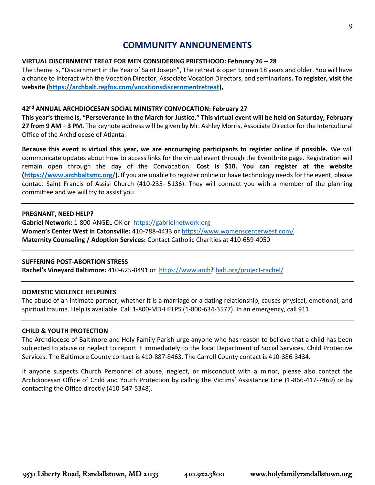### **COMMUNITY ANNOUNEMENTS**

### **VIRTUAL DISCERNMENT TREAT FOR MEN CONSIDERING PRIESTHOOD: February 26 – 28**

The theme is, "Discernment in the Year of Saint Joseph", The retreat is open to men 18 years and older. You will have a chance to interact with the Vocation Director, Associate Vocation Directors, and seminarians**. To register, visit the website [\(https://archbalt.regfox.com/vocationsdiscernmentretreat\)](https://archbalt.regfox.com/vocationsdiscernmentretreat),**

### **42nd ANNUAL ARCHDIOCESAN SOCIAL MINISTRY CONVOCATION: February 27**

**This year's theme is, "Perseverance in the March for Justice." This virtual event will be held on Saturday, February 27 from 9 AM – 3 PM.** The keynote address will be given by Mr. Ashley Morris, Associate Director for the Intercultural Office of the Archdiocese of Atlanta.

**Because this event is virtual this year, we are encouraging participants to register online if possible.** We will communicate updates about how to access links for the virtual event through the Eventbrite page. Registration will remain open through the day of the Convocation. **Cost is \$10. You can register at the website [\(https://www.archbaltsmc.org/\)](https://www.archbaltsmc.org/).** If you are unable to register online or have technology needs for the event, please contact Saint Francis of Assisi Church (410-235- 5136). They will connect you with a member of the planning committee and we will try to assist you

#### **PREGNANT, NEED HELP?**

**Gabriel Network:** 1-800-ANGEL-OK or [https://gabrielnetwork.org](https://gabrielnetwork.org/) **Women's Center West in Catonsville:** 410-788-4433 or<https://www.womenscenterwest.com/> **Maternity Counseling / Adoption Services:** Contact Catholic Charities at 410-659-4050

### **SUFFERING POST-ABORTION STRESS**

**Rachel's Vineyard Baltimore:** 410-625-8491 or https://www.arch**?** [balt.org/project-rachel/](https://www.archbalt.org/project-rachel/)

### **DOMESTIC VIOLENCE HELPLINES**

The abuse of an intimate partner, whether it is a marriage or a dating relationship, causes physical, emotional, and spiritual trauma. Help is available. Call 1-800-MD-HELPS (1-800-634-3577). In an emergency, call 911.

### **CHILD & YOUTH PROTECTION**

The Archdiocese of Baltimore and Holy Family Parish urge anyone who has reason to believe that a child has been subjected to abuse or neglect to report it immediately to the local Department of Social Services, Child Protective Services. The Baltimore County contact is 410-887-8463. The Carroll County contact is 410-386-3434.

If anyone suspects Church Personnel of abuse, neglect, or misconduct with a minor, please also contact the Archdiocesan Office of Child and Youth Protection by calling the Victims' Assistance Line (1-866-417-7469) or by contacting the Office directly (410-547-5348).